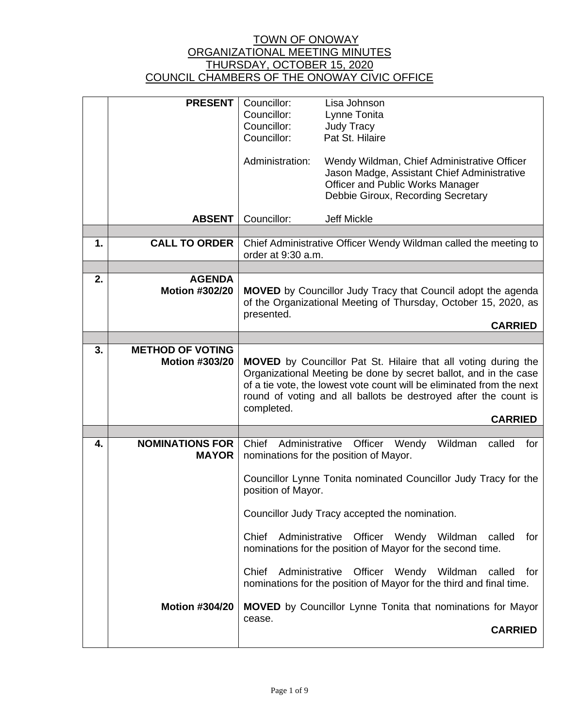|    | <b>PRESENT</b>                                                  | Councillor:<br>Councillor:<br>Councillor:<br>Councillor:                                            | Lisa Johnson<br>Lynne Tonita<br><b>Judy Tracy</b><br>Pat St. Hilaire                                                                                                                                                                                                                                                                                                                                                                                                                                    |
|----|-----------------------------------------------------------------|-----------------------------------------------------------------------------------------------------|---------------------------------------------------------------------------------------------------------------------------------------------------------------------------------------------------------------------------------------------------------------------------------------------------------------------------------------------------------------------------------------------------------------------------------------------------------------------------------------------------------|
|    |                                                                 | Administration:                                                                                     | Wendy Wildman, Chief Administrative Officer<br>Jason Madge, Assistant Chief Administrative<br>Officer and Public Works Manager<br>Debbie Giroux, Recording Secretary                                                                                                                                                                                                                                                                                                                                    |
|    | <b>ABSENT</b>                                                   | Councillor:                                                                                         | <b>Jeff Mickle</b>                                                                                                                                                                                                                                                                                                                                                                                                                                                                                      |
| 1. | <b>CALL TO ORDER</b>                                            |                                                                                                     | Chief Administrative Officer Wendy Wildman called the meeting to                                                                                                                                                                                                                                                                                                                                                                                                                                        |
|    |                                                                 | order at 9:30 a.m.                                                                                  |                                                                                                                                                                                                                                                                                                                                                                                                                                                                                                         |
|    |                                                                 |                                                                                                     |                                                                                                                                                                                                                                                                                                                                                                                                                                                                                                         |
| 2. | <b>AGENDA</b><br><b>Motion #302/20</b>                          | presented.                                                                                          | <b>MOVED</b> by Councillor Judy Tracy that Council adopt the agenda<br>of the Organizational Meeting of Thursday, October 15, 2020, as<br><b>CARRIED</b>                                                                                                                                                                                                                                                                                                                                                |
|    |                                                                 |                                                                                                     |                                                                                                                                                                                                                                                                                                                                                                                                                                                                                                         |
| 3. | <b>METHOD OF VOTING</b><br><b>Motion #303/20</b>                | completed.                                                                                          | <b>MOVED</b> by Councillor Pat St. Hilaire that all voting during the<br>Organizational Meeting be done by secret ballot, and in the case<br>of a tie vote, the lowest vote count will be eliminated from the next<br>round of voting and all ballots be destroyed after the count is<br><b>CARRIED</b>                                                                                                                                                                                                 |
|    |                                                                 |                                                                                                     |                                                                                                                                                                                                                                                                                                                                                                                                                                                                                                         |
| 4. | <b>NOMINATIONS FOR</b><br><b>MAYOR</b><br><b>Motion #304/20</b> | Chief<br>Administrative<br>position of Mayor.<br>Administrative<br>Chief<br>Administrative<br>Chief | Officer Wendy<br>Wildman<br>called<br>for<br>nominations for the position of Mayor.<br>Councillor Lynne Tonita nominated Councillor Judy Tracy for the<br>Councillor Judy Tracy accepted the nomination.<br>Officer Wendy Wildman<br>called<br>for<br>nominations for the position of Mayor for the second time.<br>Officer Wendy Wildman<br>called<br>for<br>nominations for the position of Mayor for the third and final time.<br><b>MOVED</b> by Councillor Lynne Tonita that nominations for Mayor |
|    |                                                                 | cease.                                                                                              | <b>CARRIED</b>                                                                                                                                                                                                                                                                                                                                                                                                                                                                                          |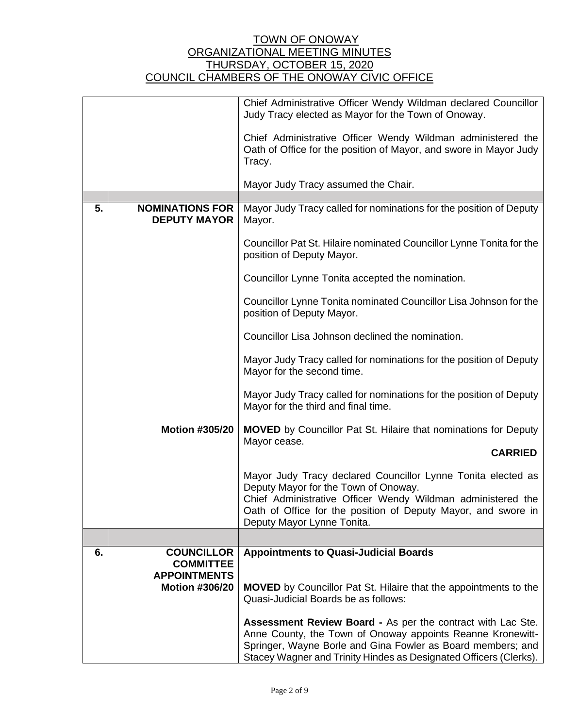|    |                                               | Chief Administrative Officer Wendy Wildman declared Councillor                                                                                                                                                                                                |
|----|-----------------------------------------------|---------------------------------------------------------------------------------------------------------------------------------------------------------------------------------------------------------------------------------------------------------------|
|    |                                               | Judy Tracy elected as Mayor for the Town of Onoway.                                                                                                                                                                                                           |
|    |                                               | Chief Administrative Officer Wendy Wildman administered the<br>Oath of Office for the position of Mayor, and swore in Mayor Judy<br>Tracy.                                                                                                                    |
|    |                                               | Mayor Judy Tracy assumed the Chair.                                                                                                                                                                                                                           |
|    |                                               |                                                                                                                                                                                                                                                               |
| 5. | <b>NOMINATIONS FOR</b><br><b>DEPUTY MAYOR</b> | Mayor Judy Tracy called for nominations for the position of Deputy<br>Mayor.                                                                                                                                                                                  |
|    |                                               | Councillor Pat St. Hilaire nominated Councillor Lynne Tonita for the<br>position of Deputy Mayor.                                                                                                                                                             |
|    |                                               | Councillor Lynne Tonita accepted the nomination.                                                                                                                                                                                                              |
|    |                                               | Councillor Lynne Tonita nominated Councillor Lisa Johnson for the<br>position of Deputy Mayor.                                                                                                                                                                |
|    |                                               | Councillor Lisa Johnson declined the nomination.                                                                                                                                                                                                              |
|    |                                               | Mayor Judy Tracy called for nominations for the position of Deputy<br>Mayor for the second time.                                                                                                                                                              |
|    |                                               | Mayor Judy Tracy called for nominations for the position of Deputy<br>Mayor for the third and final time.                                                                                                                                                     |
|    | <b>Motion #305/20</b>                         | <b>MOVED</b> by Councillor Pat St. Hilaire that nominations for Deputy<br>Mayor cease.                                                                                                                                                                        |
|    |                                               | <b>CARRIED</b>                                                                                                                                                                                                                                                |
|    |                                               | Mayor Judy Tracy declared Councillor Lynne Tonita elected as                                                                                                                                                                                                  |
|    |                                               | Deputy Mayor for the Town of Onoway.                                                                                                                                                                                                                          |
|    |                                               | Chief Administrative Officer Wendy Wildman administered the<br>Oath of Office for the position of Deputy Mayor, and swore in                                                                                                                                  |
|    |                                               | Deputy Mayor Lynne Tonita.                                                                                                                                                                                                                                    |
|    |                                               |                                                                                                                                                                                                                                                               |
| 6. | <b>COUNCILLOR</b>                             | <b>Appointments to Quasi-Judicial Boards</b>                                                                                                                                                                                                                  |
|    | <b>COMMITTEE</b><br><b>APPOINTMENTS</b>       |                                                                                                                                                                                                                                                               |
|    | <b>Motion #306/20</b>                         | <b>MOVED</b> by Councillor Pat St. Hilaire that the appointments to the<br>Quasi-Judicial Boards be as follows:                                                                                                                                               |
|    |                                               |                                                                                                                                                                                                                                                               |
|    |                                               | Assessment Review Board - As per the contract with Lac Ste.<br>Anne County, the Town of Onoway appoints Reanne Kronewitt-<br>Springer, Wayne Borle and Gina Fowler as Board members; and<br>Stacey Wagner and Trinity Hindes as Designated Officers (Clerks). |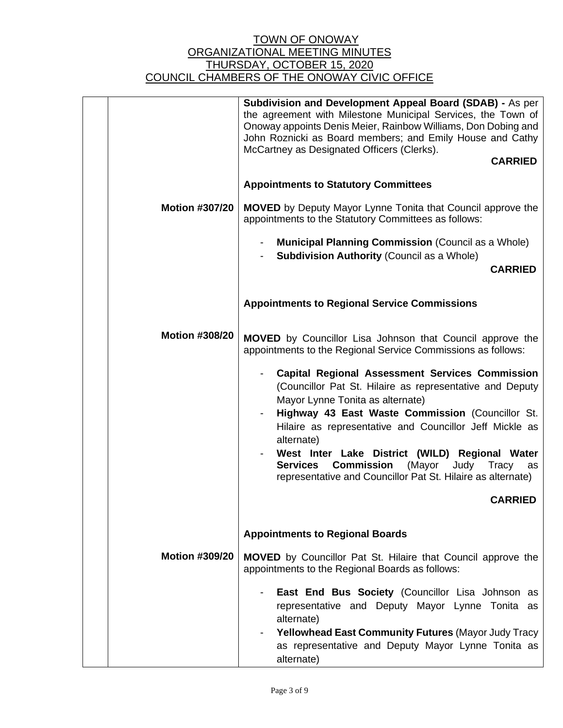|                       | Subdivision and Development Appeal Board (SDAB) - As per<br>the agreement with Milestone Municipal Services, the Town of<br>Onoway appoints Denis Meier, Rainbow Williams, Don Dobing and<br>John Roznicki as Board members; and Emily House and Cathy<br>McCartney as Designated Officers (Clerks).<br><b>CARRIED</b>                                                                                                                                                        |
|-----------------------|-------------------------------------------------------------------------------------------------------------------------------------------------------------------------------------------------------------------------------------------------------------------------------------------------------------------------------------------------------------------------------------------------------------------------------------------------------------------------------|
|                       |                                                                                                                                                                                                                                                                                                                                                                                                                                                                               |
|                       | <b>Appointments to Statutory Committees</b>                                                                                                                                                                                                                                                                                                                                                                                                                                   |
| <b>Motion #307/20</b> | <b>MOVED</b> by Deputy Mayor Lynne Tonita that Council approve the<br>appointments to the Statutory Committees as follows:                                                                                                                                                                                                                                                                                                                                                    |
|                       | <b>Municipal Planning Commission (Council as a Whole)</b><br><b>Subdivision Authority (Council as a Whole)</b>                                                                                                                                                                                                                                                                                                                                                                |
|                       | <b>CARRIED</b>                                                                                                                                                                                                                                                                                                                                                                                                                                                                |
|                       | <b>Appointments to Regional Service Commissions</b>                                                                                                                                                                                                                                                                                                                                                                                                                           |
| <b>Motion #308/20</b> | <b>MOVED</b> by Councillor Lisa Johnson that Council approve the<br>appointments to the Regional Service Commissions as follows:                                                                                                                                                                                                                                                                                                                                              |
|                       | <b>Capital Regional Assessment Services Commission</b><br>(Councillor Pat St. Hilaire as representative and Deputy<br>Mayor Lynne Tonita as alternate)<br>Highway 43 East Waste Commission (Councillor St.<br>Hilaire as representative and Councillor Jeff Mickle as<br>alternate)<br>West Inter Lake District (WILD) Regional Water<br><b>Commission</b><br>(Mayor<br>Judy<br>Tracy<br><b>Services</b><br>as<br>representative and Councillor Pat St. Hilaire as alternate) |
|                       | <b>CARRIED</b>                                                                                                                                                                                                                                                                                                                                                                                                                                                                |
|                       | <b>Appointments to Regional Boards</b>                                                                                                                                                                                                                                                                                                                                                                                                                                        |
| <b>Motion #309/20</b> | MOVED by Councillor Pat St. Hilaire that Council approve the<br>appointments to the Regional Boards as follows:                                                                                                                                                                                                                                                                                                                                                               |
|                       | East End Bus Society (Councillor Lisa Johnson as<br>representative and Deputy Mayor Lynne Tonita as<br>alternate)<br>Yellowhead East Community Futures (Mayor Judy Tracy<br>as representative and Deputy Mayor Lynne Tonita as                                                                                                                                                                                                                                                |
|                       | alternate)                                                                                                                                                                                                                                                                                                                                                                                                                                                                    |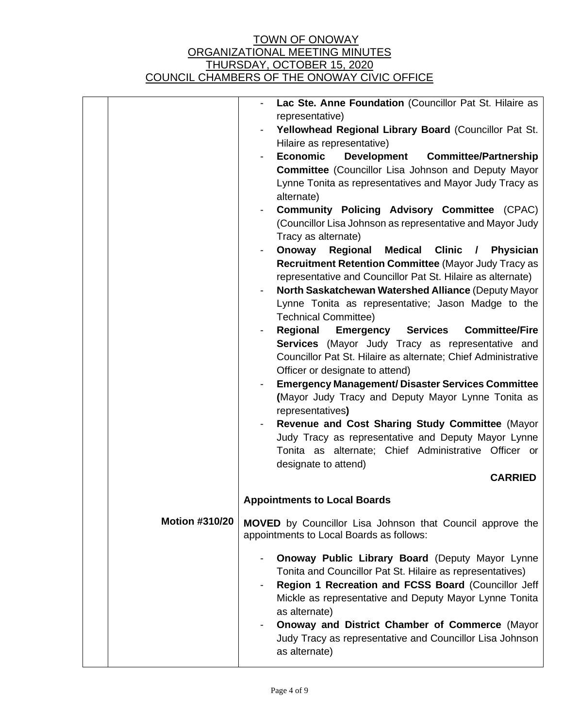|                       | Lac Ste. Anne Foundation (Councillor Pat St. Hilaire as                                                             |  |
|-----------------------|---------------------------------------------------------------------------------------------------------------------|--|
|                       | representative)                                                                                                     |  |
|                       | Yellowhead Regional Library Board (Councillor Pat St.                                                               |  |
|                       | Hilaire as representative)                                                                                          |  |
|                       | <b>Economic</b><br><b>Development</b><br><b>Committee/Partnership</b>                                               |  |
|                       | <b>Committee</b> (Councillor Lisa Johnson and Deputy Mayor                                                          |  |
|                       | Lynne Tonita as representatives and Mayor Judy Tracy as<br>alternate)                                               |  |
|                       | <b>Community Policing Advisory Committee (CPAC)</b>                                                                 |  |
|                       | (Councillor Lisa Johnson as representative and Mayor Judy                                                           |  |
|                       | Tracy as alternate)                                                                                                 |  |
|                       | Onoway<br>Regional<br><b>Medical</b><br><b>Clinic</b><br><b>Physician</b><br>$\frac{1}{2}$                          |  |
|                       | Recruitment Retention Committee (Mayor Judy Tracy as<br>representative and Councillor Pat St. Hilaire as alternate) |  |
|                       | North Saskatchewan Watershed Alliance (Deputy Mayor                                                                 |  |
|                       | Lynne Tonita as representative; Jason Madge to the                                                                  |  |
|                       | <b>Technical Committee)</b>                                                                                         |  |
|                       | <b>Emergency Services</b><br>Regional<br><b>Committee/Fire</b>                                                      |  |
|                       | Services (Mayor Judy Tracy as representative and                                                                    |  |
|                       | Councillor Pat St. Hilaire as alternate; Chief Administrative                                                       |  |
|                       | Officer or designate to attend)                                                                                     |  |
|                       | <b>Emergency Management/ Disaster Services Committee</b><br>(Mayor Judy Tracy and Deputy Mayor Lynne Tonita as      |  |
|                       | representatives)                                                                                                    |  |
|                       | Revenue and Cost Sharing Study Committee (Mayor                                                                     |  |
|                       | Judy Tracy as representative and Deputy Mayor Lynne                                                                 |  |
|                       | Tonita as alternate; Chief Administrative Officer or                                                                |  |
|                       | designate to attend)                                                                                                |  |
|                       | <b>CARRIED</b>                                                                                                      |  |
|                       | <b>Appointments to Local Boards</b>                                                                                 |  |
|                       |                                                                                                                     |  |
| <b>Motion #310/20</b> | <b>MOVED</b> by Councillor Lisa Johnson that Council approve the<br>appointments to Local Boards as follows:        |  |
|                       |                                                                                                                     |  |
|                       | Onoway Public Library Board (Deputy Mayor Lynne<br>Tonita and Councillor Pat St. Hilaire as representatives)        |  |
|                       | Region 1 Recreation and FCSS Board (Councillor Jeff                                                                 |  |
|                       | Mickle as representative and Deputy Mayor Lynne Tonita                                                              |  |
|                       | as alternate)                                                                                                       |  |
|                       | <b>Onoway and District Chamber of Commerce (Mayor</b>                                                               |  |
|                       | Judy Tracy as representative and Councillor Lisa Johnson<br>as alternate)                                           |  |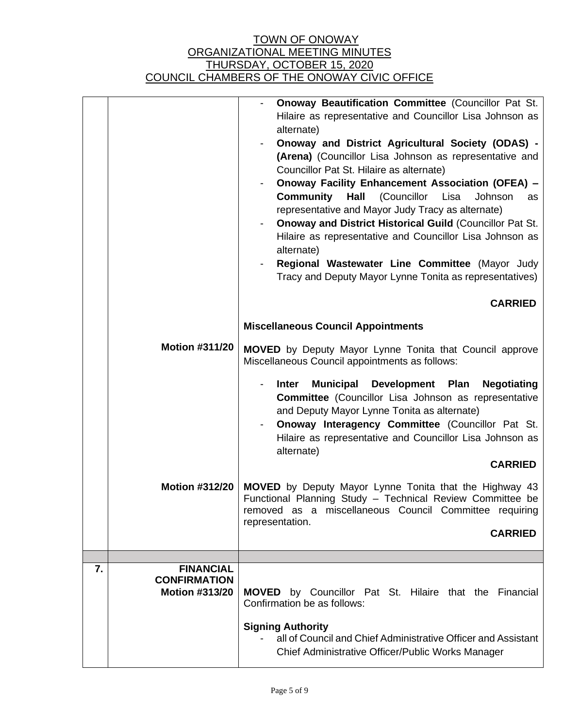|                       | <b>Onoway Beautification Committee (Councillor Pat St.</b><br>Hilaire as representative and Councillor Lisa Johnson as<br>alternate)<br>Onoway and District Agricultural Society (ODAS) -<br>(Arena) (Councillor Lisa Johnson as representative and<br>Councillor Pat St. Hilaire as alternate)<br>Onoway Facility Enhancement Association (OFEA) -<br><b>Community</b><br>(Councillor<br>Hall<br>Lisa<br>Johnson<br>as<br>representative and Mayor Judy Tracy as alternate)<br><b>Onoway and District Historical Guild (Councillor Pat St.</b><br>Hilaire as representative and Councillor Lisa Johnson as<br>alternate)<br>Regional Wastewater Line Committee (Mayor Judy<br>Tracy and Deputy Mayor Lynne Tonita as representatives) |
|-----------------------|----------------------------------------------------------------------------------------------------------------------------------------------------------------------------------------------------------------------------------------------------------------------------------------------------------------------------------------------------------------------------------------------------------------------------------------------------------------------------------------------------------------------------------------------------------------------------------------------------------------------------------------------------------------------------------------------------------------------------------------|
|                       | <b>CARRIED</b>                                                                                                                                                                                                                                                                                                                                                                                                                                                                                                                                                                                                                                                                                                                         |
|                       | <b>Miscellaneous Council Appointments</b>                                                                                                                                                                                                                                                                                                                                                                                                                                                                                                                                                                                                                                                                                              |
| <b>Motion #311/20</b> | MOVED by Deputy Mayor Lynne Tonita that Council approve<br>Miscellaneous Council appointments as follows:                                                                                                                                                                                                                                                                                                                                                                                                                                                                                                                                                                                                                              |
|                       | <b>Municipal</b><br>Development Plan<br><b>Inter</b><br><b>Negotiating</b><br><b>Committee</b> (Councillor Lisa Johnson as representative<br>and Deputy Mayor Lynne Tonita as alternate)<br>Onoway Interagency Committee (Councillor Pat St.<br>Hilaire as representative and Councillor Lisa Johnson as<br>alternate)                                                                                                                                                                                                                                                                                                                                                                                                                 |
|                       | <b>CARRIED</b>                                                                                                                                                                                                                                                                                                                                                                                                                                                                                                                                                                                                                                                                                                                         |
| <b>Motion #312/20</b> | MOVED by Deputy Mayor Lynne Tonita that the Highway 43<br>Functional Planning Study - Technical Review Committee be<br>removed as a miscellaneous Council Committee requiring<br>representation.                                                                                                                                                                                                                                                                                                                                                                                                                                                                                                                                       |
|                       | <b>CARRIED</b>                                                                                                                                                                                                                                                                                                                                                                                                                                                                                                                                                                                                                                                                                                                         |
|                       |                                                                                                                                                                                                                                                                                                                                                                                                                                                                                                                                                                                                                                                                                                                                        |
|                       |                                                                                                                                                                                                                                                                                                                                                                                                                                                                                                                                                                                                                                                                                                                                        |
| <b>FINANCIAL</b>      |                                                                                                                                                                                                                                                                                                                                                                                                                                                                                                                                                                                                                                                                                                                                        |
|                       |                                                                                                                                                                                                                                                                                                                                                                                                                                                                                                                                                                                                                                                                                                                                        |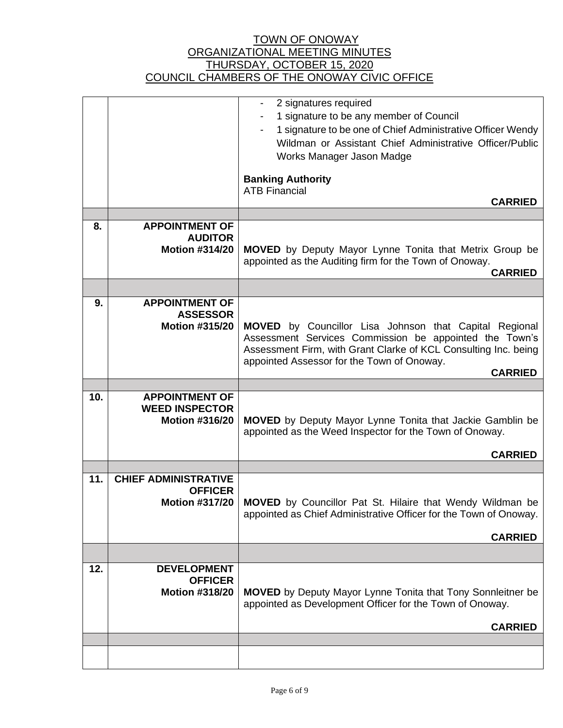|     |                                                                        | 2 signatures required<br>1 signature to be any member of Council<br>1 signature to be one of Chief Administrative Officer Wendy<br>Wildman or Assistant Chief Administrative Officer/Public<br>Works Manager Jason Madge<br><b>Banking Authority</b><br><b>ATB Financial</b><br><b>CARRIED</b> |
|-----|------------------------------------------------------------------------|------------------------------------------------------------------------------------------------------------------------------------------------------------------------------------------------------------------------------------------------------------------------------------------------|
|     |                                                                        |                                                                                                                                                                                                                                                                                                |
| 8.  | <b>APPOINTMENT OF</b><br><b>AUDITOR</b><br><b>Motion #314/20</b>       | <b>MOVED</b> by Deputy Mayor Lynne Tonita that Metrix Group be<br>appointed as the Auditing firm for the Town of Onoway.<br><b>CARRIED</b>                                                                                                                                                     |
|     |                                                                        |                                                                                                                                                                                                                                                                                                |
| 9.  | <b>APPOINTMENT OF</b><br><b>ASSESSOR</b><br><b>Motion #315/20</b>      | MOVED by Councillor Lisa Johnson that Capital Regional<br>Assessment Services Commission be appointed the Town's<br>Assessment Firm, with Grant Clarke of KCL Consulting Inc. being<br>appointed Assessor for the Town of Onoway.<br><b>CARRIED</b>                                            |
| 10. | <b>APPOINTMENT OF</b>                                                  |                                                                                                                                                                                                                                                                                                |
|     | <b>WEED INSPECTOR</b><br><b>Motion #316/20</b>                         | <b>MOVED</b> by Deputy Mayor Lynne Tonita that Jackie Gamblin be<br>appointed as the Weed Inspector for the Town of Onoway.<br><b>CARRIED</b>                                                                                                                                                  |
|     |                                                                        |                                                                                                                                                                                                                                                                                                |
| 11. | <b>CHIEF ADMINISTRATIVE</b><br><b>OFFICER</b><br><b>Motion #317/20</b> | MOVED by Councillor Pat St. Hilaire that Wendy Wildman be<br>appointed as Chief Administrative Officer for the Town of Onoway.<br><b>CARRIED</b>                                                                                                                                               |
|     |                                                                        |                                                                                                                                                                                                                                                                                                |
| 12. | <b>DEVELOPMENT</b><br><b>OFFICER</b><br><b>Motion #318/20</b>          | <b>MOVED</b> by Deputy Mayor Lynne Tonita that Tony Sonnleitner be<br>appointed as Development Officer for the Town of Onoway.<br><b>CARRIED</b>                                                                                                                                               |
|     |                                                                        |                                                                                                                                                                                                                                                                                                |
|     |                                                                        |                                                                                                                                                                                                                                                                                                |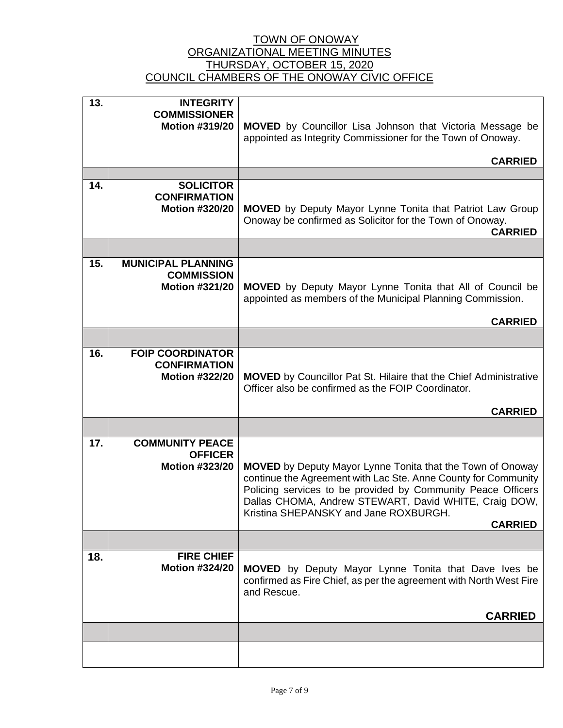| 13. | <b>INTEGRITY</b><br><b>COMMISSIONER</b><br><b>Motion #319/20</b>        | <b>MOVED</b> by Councillor Lisa Johnson that Victoria Message be<br>appointed as Integrity Commissioner for the Town of Onoway.                                                                                                                                                                                         |
|-----|-------------------------------------------------------------------------|-------------------------------------------------------------------------------------------------------------------------------------------------------------------------------------------------------------------------------------------------------------------------------------------------------------------------|
|     |                                                                         | <b>CARRIED</b>                                                                                                                                                                                                                                                                                                          |
|     |                                                                         |                                                                                                                                                                                                                                                                                                                         |
| 14. | <b>SOLICITOR</b><br><b>CONFIRMATION</b><br><b>Motion #320/20</b>        | <b>MOVED</b> by Deputy Mayor Lynne Tonita that Patriot Law Group<br>Onoway be confirmed as Solicitor for the Town of Onoway.<br><b>CARRIED</b>                                                                                                                                                                          |
|     |                                                                         |                                                                                                                                                                                                                                                                                                                         |
| 15. | <b>MUNICIPAL PLANNING</b><br><b>COMMISSION</b><br><b>Motion #321/20</b> | <b>MOVED</b> by Deputy Mayor Lynne Tonita that All of Council be<br>appointed as members of the Municipal Planning Commission.<br><b>CARRIED</b>                                                                                                                                                                        |
|     |                                                                         |                                                                                                                                                                                                                                                                                                                         |
|     |                                                                         |                                                                                                                                                                                                                                                                                                                         |
| 16. | <b>FOIP COORDINATOR</b><br><b>CONFIRMATION</b><br><b>Motion #322/20</b> | <b>MOVED</b> by Councillor Pat St. Hilaire that the Chief Administrative<br>Officer also be confirmed as the FOIP Coordinator.                                                                                                                                                                                          |
|     |                                                                         | <b>CARRIED</b>                                                                                                                                                                                                                                                                                                          |
|     |                                                                         |                                                                                                                                                                                                                                                                                                                         |
| 17. | <b>COMMUNITY PEACE</b><br><b>OFFICER</b><br><b>Motion #323/20</b>       | <b>MOVED</b> by Deputy Mayor Lynne Tonita that the Town of Onoway<br>continue the Agreement with Lac Ste. Anne County for Community<br>Policing services to be provided by Community Peace Officers<br>Dallas CHOMA, Andrew STEWART, David WHITE, Craig DOW,<br>Kristina SHEPANSKY and Jane ROXBURGH.<br><b>CARRIED</b> |
|     |                                                                         |                                                                                                                                                                                                                                                                                                                         |
| 18. | <b>FIRE CHIEF</b><br><b>Motion #324/20</b>                              | <b>MOVED</b> by Deputy Mayor Lynne Tonita that Dave Ives be<br>confirmed as Fire Chief, as per the agreement with North West Fire<br>and Rescue.                                                                                                                                                                        |
|     |                                                                         | <b>CARRIED</b>                                                                                                                                                                                                                                                                                                          |
|     |                                                                         |                                                                                                                                                                                                                                                                                                                         |
|     |                                                                         |                                                                                                                                                                                                                                                                                                                         |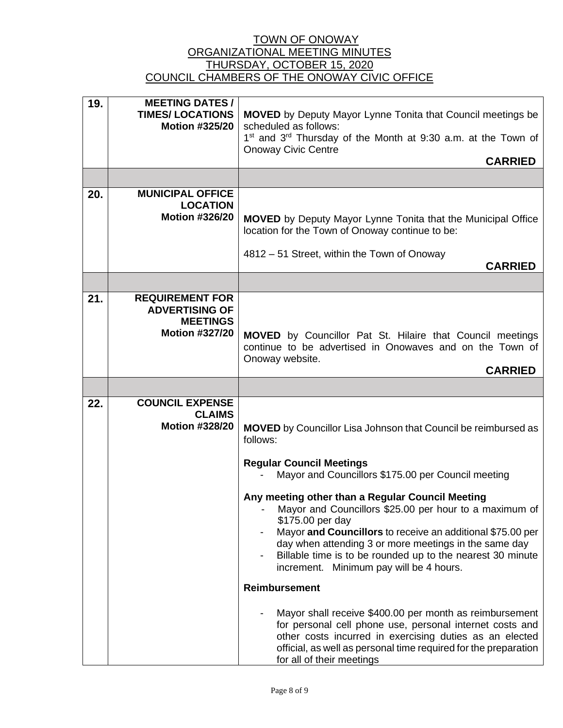| 19. | <b>MEETING DATES /</b>                                                                      |                                                                                                                                                                                                                                                                                                                                                                |
|-----|---------------------------------------------------------------------------------------------|----------------------------------------------------------------------------------------------------------------------------------------------------------------------------------------------------------------------------------------------------------------------------------------------------------------------------------------------------------------|
|     | <b>TIMES/LOCATIONS</b><br><b>Motion #325/20</b>                                             | <b>MOVED</b> by Deputy Mayor Lynne Tonita that Council meetings be<br>scheduled as follows:<br>1 <sup>st</sup> and 3 <sup>rd</sup> Thursday of the Month at 9:30 a.m. at the Town of<br><b>Onoway Civic Centre</b>                                                                                                                                             |
|     |                                                                                             | <b>CARRIED</b>                                                                                                                                                                                                                                                                                                                                                 |
|     |                                                                                             |                                                                                                                                                                                                                                                                                                                                                                |
| 20. | <b>MUNICIPAL OFFICE</b><br><b>LOCATION</b><br><b>Motion #326/20</b>                         | <b>MOVED</b> by Deputy Mayor Lynne Tonita that the Municipal Office<br>location for the Town of Onoway continue to be:<br>4812 - 51 Street, within the Town of Onoway<br><b>CARRIED</b>                                                                                                                                                                        |
|     |                                                                                             |                                                                                                                                                                                                                                                                                                                                                                |
| 21. | <b>REQUIREMENT FOR</b><br><b>ADVERTISING OF</b><br><b>MEETINGS</b><br><b>Motion #327/20</b> | <b>MOVED</b> by Councillor Pat St. Hilaire that Council meetings<br>continue to be advertised in Onowaves and on the Town of<br>Onoway website.<br><b>CARRIED</b>                                                                                                                                                                                              |
|     |                                                                                             |                                                                                                                                                                                                                                                                                                                                                                |
| 22. | <b>COUNCIL EXPENSE</b><br><b>CLAIMS</b><br><b>Motion #328/20</b>                            | <b>MOVED</b> by Councillor Lisa Johnson that Council be reimbursed as<br>follows:<br><b>Regular Council Meetings</b><br>Mayor and Councillors \$175.00 per Council meeting                                                                                                                                                                                     |
|     |                                                                                             | Any meeting other than a Regular Council Meeting<br>Mayor and Councillors \$25.00 per hour to a maximum of<br>\$175.00 per day<br>Mayor and Councillors to receive an additional \$75.00 per<br>day when attending 3 or more meetings in the same day<br>Billable time is to be rounded up to the nearest 30 minute<br>increment. Minimum pay will be 4 hours. |
|     |                                                                                             | <b>Reimbursement</b>                                                                                                                                                                                                                                                                                                                                           |
|     |                                                                                             | Mayor shall receive \$400.00 per month as reimbursement<br>for personal cell phone use, personal internet costs and<br>other costs incurred in exercising duties as an elected<br>official, as well as personal time required for the preparation<br>for all of their meetings                                                                                 |